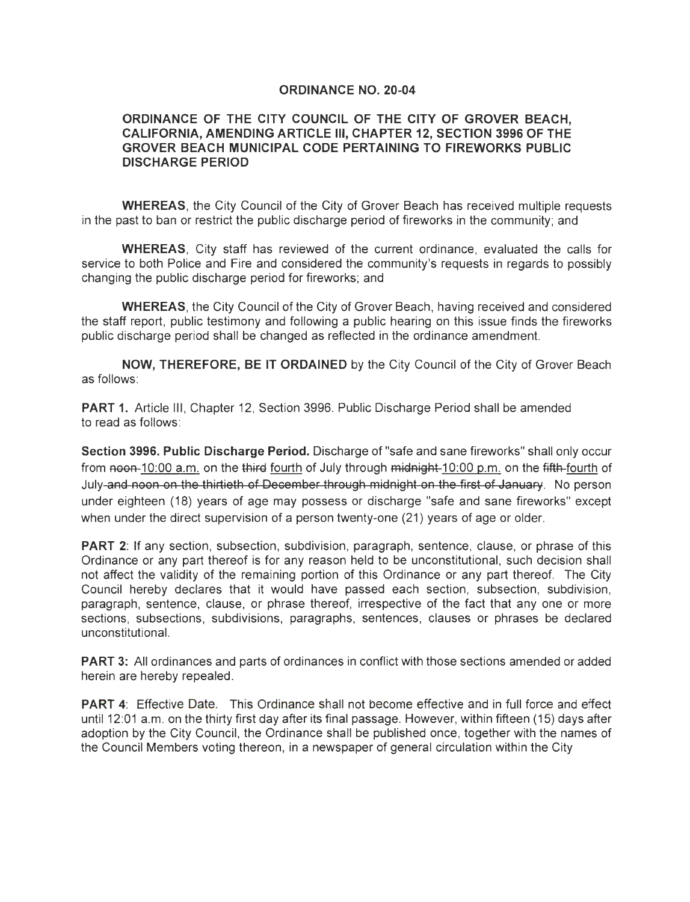## **ORDINANCE NO. 20-04**

## **ORDINANCE OF THE CITY COUNCIL OF THE CITY OF GROVER BEACH, CALIFORNIA, AMENDING ARTICLE Ill, CHAPTER 12, SECTION 3996 OF THE GROVER BEACH MUNICIPAL CODE PERTAINING TO FIREWORKS PUBLIC DISCHARGE PERIOD**

**WHEREAS,** the City Council of the City of Grover Beach has received multiple requests in the past to ban or restrict the public discharge period of fireworks in the community; and

**WHEREAS,** City staff has reviewed of the current ordinance, evaluated the calls for service to both Police and Fire and considered the community's requests in regards to possibly changing the public discharge period for fireworks; and

**WHEREAS,** the City Council of the City of Grover Beach, having received and considered the staff report, public testimony and following a public hearing on this issue finds the fireworks public discharge period shall be changed as reflected in the ordinance amendment.

**NOW, THEREFORE, BE IT ORDAINED** by the City Council of the City of Grover Beach as follows:

**PART 1.** Article Ill, Chapter 12, Section 3996. Public Discharge Period shall be amended to read as follows:

**Section 3996. Public Discharge Period.** Discharge of "safe and sane fireworks" shall only occur from noon-10:00 a.m. on the third fourth of July through midnight 10:00 p.m. on the fifth-fourth of July and noon on the thirtieth of December through midnight on the first of January. No person under eighteen (18) years of age may possess or discharge "safe and sane fireworks" except when under the direct supervision of a person twenty-one (21) years of age or older.

**PART 2:** If any section, subsection, subdivision, paragraph, sentence, clause, or phrase of this Ordinance or any part thereof is for any reason held to be unconstitutional, such decision shall not affect the validity of the remaining portion of this Ordinance or any part thereof. The City Council hereby declares that it would have passed each section, subsection, subdivision, paragraph, sentence, clause, or phrase thereof, irrespective of the fact that any one or more sections, subsections, subdivisions, paragraphs, sentences, clauses or phrases be declared unconstitutional.

**PART** 3: All ordinances and parts of ordinances in conflict with those sections amended or added herein are hereby repealed.

**PART 4:** Effective Date. This Ordinance shall not become effective and in full force and effect until 12:01 a.m. on the thirty first day after its final passage. However, within fifteen (15) days after adoption by the City Council, the Ordinance shall be published once, together with the names of the Council Members voting thereon, in a newspaper of general circulation within the City